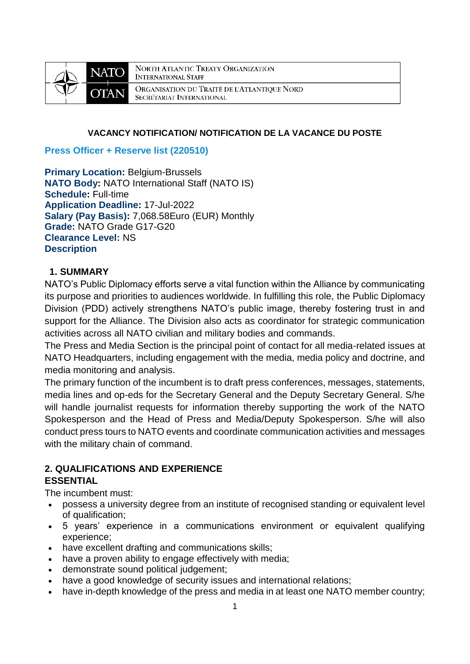

NORTH ATLANTIC TREATY ORGANIZATION **INTERNATIONAL STAFF** ORGANISATION DU TRAITÉ DE L'ATLANTIQUE NORD SECRÉTARIAT INTERNATIONAL

#### **VACANCY NOTIFICATION/ NOTIFICATION DE LA VACANCE DU POSTE**

#### **Press Officer + Reserve list (220510)**

**Primary Location: Belgium-Brussels NATO Body:** NATO International Staff (NATO IS) **Schedule:** Full-time **Application Deadline:** 17-Jul-2022 **Salary (Pay Basis):** 7,068.58Euro (EUR) Monthly **Grade:** NATO Grade G17-G20 **Clearance Level:** NS **Description**

### **1. SUMMARY**

NATO's Public Diplomacy efforts serve a vital function within the Alliance by communicating its purpose and priorities to audiences worldwide. In fulfilling this role, the Public Diplomacy Division (PDD) actively strengthens NATO's public image, thereby fostering trust in and support for the Alliance. The Division also acts as coordinator for strategic communication activities across all NATO civilian and military bodies and commands.

The Press and Media Section is the principal point of contact for all media-related issues at NATO Headquarters, including engagement with the media, media policy and doctrine, and media monitoring and analysis.

The primary function of the incumbent is to draft press conferences, messages, statements, media lines and op-eds for the Secretary General and the Deputy Secretary General. S/he will handle journalist requests for information thereby supporting the work of the NATO Spokesperson and the Head of Press and Media/Deputy Spokesperson. S/he will also conduct press tours to NATO events and coordinate communication activities and messages with the military chain of command.

#### **2. QUALIFICATIONS AND EXPERIENCE ESSENTIAL**

The incumbent must:

- possess a university degree from an institute of recognised standing or equivalent level of qualification;
- 5 years' experience in a communications environment or equivalent qualifying experience;
- have excellent drafting and communications skills;
- have a proven ability to engage effectively with media;
- demonstrate sound political judgement;
- have a good knowledge of security issues and international relations;
- have in-depth knowledge of the press and media in at least one NATO member country;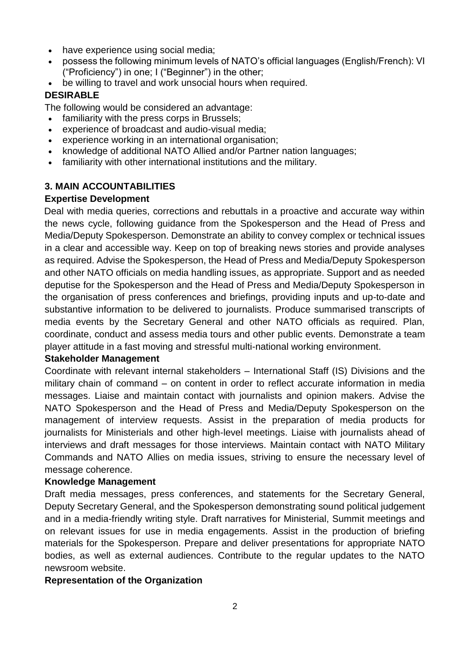- have experience using social media:
- possess the following minimum levels of NATO's official languages (English/French): VI ("Proficiency") in one; I ("Beginner") in the other;
- be willing to travel and work unsocial hours when required.

### **DESIRABLE**

The following would be considered an advantage:

- familiarity with the press corps in Brussels;
- experience of broadcast and audio-visual media;
- experience working in an international organisation;
- knowledge of additional NATO Allied and/or Partner nation languages;
- familiarity with other international institutions and the military.

### **3. MAIN ACCOUNTABILITIES**

#### **Expertise Development**

Deal with media queries, corrections and rebuttals in a proactive and accurate way within the news cycle, following guidance from the Spokesperson and the Head of Press and Media/Deputy Spokesperson. Demonstrate an ability to convey complex or technical issues in a clear and accessible way. Keep on top of breaking news stories and provide analyses as required. Advise the Spokesperson, the Head of Press and Media/Deputy Spokesperson and other NATO officials on media handling issues, as appropriate. Support and as needed deputise for the Spokesperson and the Head of Press and Media/Deputy Spokesperson in the organisation of press conferences and briefings, providing inputs and up-to-date and substantive information to be delivered to journalists. Produce summarised transcripts of media events by the Secretary General and other NATO officials as required. Plan, coordinate, conduct and assess media tours and other public events. Demonstrate a team player attitude in a fast moving and stressful multi-national working environment.

#### **Stakeholder Management**

Coordinate with relevant internal stakeholders – International Staff (IS) Divisions and the military chain of command – on content in order to reflect accurate information in media messages. Liaise and maintain contact with journalists and opinion makers. Advise the NATO Spokesperson and the Head of Press and Media/Deputy Spokesperson on the management of interview requests. Assist in the preparation of media products for journalists for Ministerials and other high-level meetings. Liaise with journalists ahead of interviews and draft messages for those interviews. Maintain contact with NATO Military Commands and NATO Allies on media issues, striving to ensure the necessary level of message coherence.

#### **Knowledge Management**

Draft media messages, press conferences, and statements for the Secretary General, Deputy Secretary General, and the Spokesperson demonstrating sound political judgement and in a media-friendly writing style. Draft narratives for Ministerial, Summit meetings and on relevant issues for use in media engagements. Assist in the production of briefing materials for the Spokesperson. Prepare and deliver presentations for appropriate NATO bodies, as well as external audiences. Contribute to the regular updates to the NATO newsroom website.

#### **Representation of the Organization**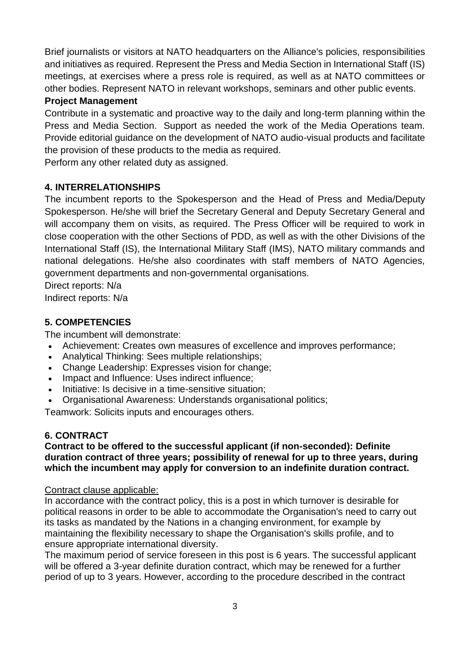Brief journalists or visitors at NATO headquarters on the Alliance's policies, responsibilities and initiatives as required. Represent the Press and Media Section in International Staff (IS) meetings, at exercises where a press role is required, as well as at NATO committees or other bodies. Represent NATO in relevant workshops, seminars and other public events.

## **Project Management**

Contribute in a systematic and proactive way to the daily and long-term planning within the Press and Media Section. Support as needed the work of the Media Operations team. Provide editorial guidance on the development of NATO audio-visual products and facilitate the provision of these products to the media as required.

Perform any other related duty as assigned.

## **4. INTERRELATIONSHIPS**

The incumbent reports to the Spokesperson and the Head of Press and Media/Deputy Spokesperson. He/she will brief the Secretary General and Deputy Secretary General and will accompany them on visits, as required. The Press Officer will be required to work in close cooperation with the other Sections of PDD, as well as with the other Divisions of the International Staff (IS), the International Military Staff (IMS), NATO military commands and national delegations. He/she also coordinates with staff members of NATO Agencies, government departments and non-governmental organisations.

Direct reports: N/a

Indirect reports: N/a

# **5. COMPETENCIES**

The incumbent will demonstrate:

- Achievement: Creates own measures of excellence and improves performance;
- Analytical Thinking: Sees multiple relationships;
- Change Leadership: Expresses vision for change;
- Impact and Influence: Uses indirect influence;
- Initiative: Is decisive in a time-sensitive situation;
- Organisational Awareness: Understands organisational politics;

Teamwork: Solicits inputs and encourages others.

## **6. CONTRACT**

### **Contract to be offered to the successful applicant (if non-seconded): Definite duration contract of three years; possibility of renewal for up to three years, during which the incumbent may apply for conversion to an indefinite duration contract.**

### Contract clause applicable:

In accordance with the contract policy, this is a post in which turnover is desirable for political reasons in order to be able to accommodate the Organisation's need to carry out its tasks as mandated by the Nations in a changing environment, for example by maintaining the flexibility necessary to shape the Organisation's skills profile, and to ensure appropriate international diversity.

The maximum period of service foreseen in this post is 6 years. The successful applicant will be offered a 3-year definite duration contract, which may be renewed for a further period of up to 3 years. However, according to the procedure described in the contract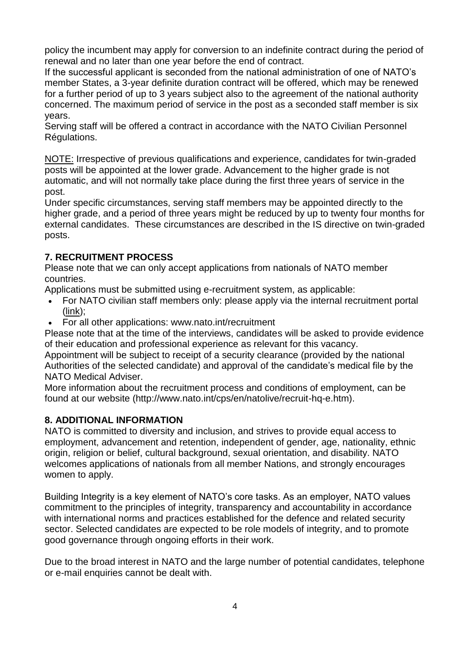policy the incumbent may apply for conversion to an indefinite contract during the period of renewal and no later than one year before the end of contract.

If the successful applicant is seconded from the national administration of one of NATO's member States, a 3-year definite duration contract will be offered, which may be renewed for a further period of up to 3 years subject also to the agreement of the national authority concerned. The maximum period of service in the post as a seconded staff member is six years.

Serving staff will be offered a contract in accordance with the NATO Civilian Personnel Régulations.

NOTE: Irrespective of previous qualifications and experience, candidates for twin-graded posts will be appointed at the lower grade. Advancement to the higher grade is not automatic, and will not normally take place during the first three years of service in the post.

Under specific circumstances, serving staff members may be appointed directly to the higher grade, and a period of three years might be reduced by up to twenty four months for external candidates. These circumstances are described in the IS directive on twin-graded posts.

# **7. RECRUITMENT PROCESS**

Please note that we can only accept applications from nationals of NATO member countries.

Applications must be submitted using e-recruitment system, as applicable:

- For NATO civilian staff members only: please apply via the internal recruitment portal [\(link\)](https://nato.taleo.net/careersection/1/jobsearch.ftl?lang=en);
- For all other applications: www.nato.int/recruitment

Please note that at the time of the interviews, candidates will be asked to provide evidence of their education and professional experience as relevant for this vacancy.

Appointment will be subject to receipt of a security clearance (provided by the national Authorities of the selected candidate) and approval of the candidate's medical file by the NATO Medical Adviser.

More information about the recruitment process and conditions of employment, can be found at our website (http://www.nato.int/cps/en/natolive/recruit-hq-e.htm).

## **8. ADDITIONAL INFORMATION**

NATO is committed to diversity and inclusion, and strives to provide equal access to employment, advancement and retention, independent of gender, age, nationality, ethnic origin, religion or belief, cultural background, sexual orientation, and disability. NATO welcomes applications of nationals from all member Nations, and strongly encourages women to apply.

Building Integrity is a key element of NATO's core tasks. As an employer, NATO values commitment to the principles of integrity, transparency and accountability in accordance with international norms and practices established for the defence and related security sector. Selected candidates are expected to be role models of integrity, and to promote good governance through ongoing efforts in their work.

Due to the broad interest in NATO and the large number of potential candidates, telephone or e-mail enquiries cannot be dealt with.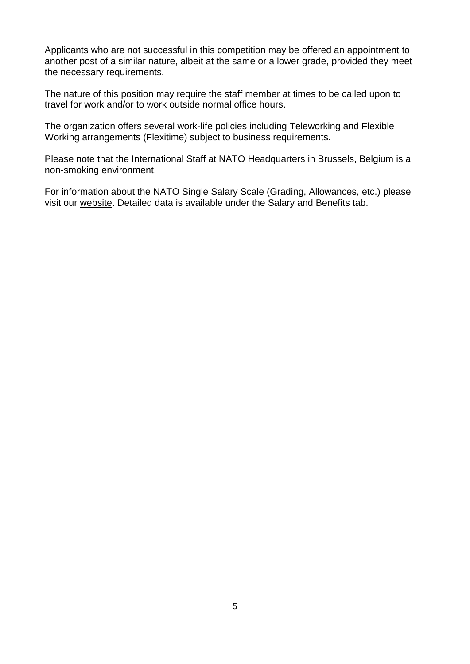Applicants who are not successful in this competition may be offered an appointment to another post of a similar nature, albeit at the same or a lower grade, provided they meet the necessary requirements.

The nature of this position may require the staff member at times to be called upon to travel for work and/or to work outside normal office hours.

The organization offers several work-life policies including Teleworking and Flexible Working arrangements (Flexitime) subject to business requirements.

Please note that the International Staff at NATO Headquarters in Brussels, Belgium is a non-smoking environment.

For information about the NATO Single Salary Scale (Grading, Allowances, etc.) please visit our [website.](https://www.nato.int/cps/en/natolive/86790.htm) Detailed data is available under the Salary and Benefits tab.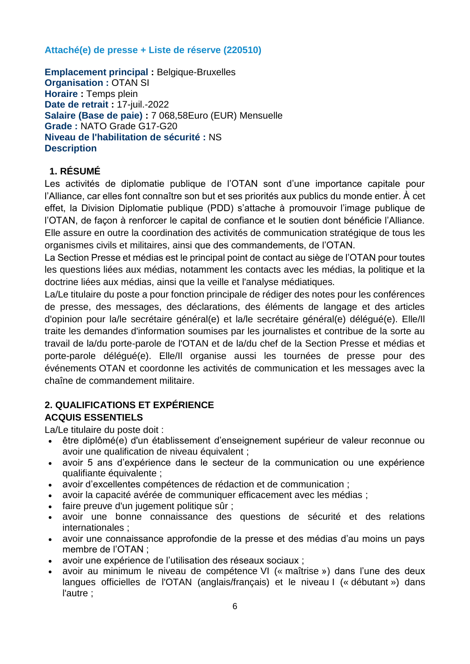## **Attaché(e) de presse + Liste de réserve (220510)**

**Emplacement principal :** Belgique-Bruxelles **Organisation :** OTAN SI **Horaire :** Temps plein **Date de retrait :** 17-juil.-2022 **Salaire (Base de paie) :** 7 068,58Euro (EUR) Mensuelle **Grade :** NATO Grade G17-G20 **Niveau de l'habilitation de sécurité :** NS **Description**

# **1. RÉSUMÉ**

Les activités de diplomatie publique de l'OTAN sont d'une importance capitale pour l'Alliance, car elles font connaître son but et ses priorités aux publics du monde entier. À cet effet, la Division Diplomatie publique (PDD) s'attache à promouvoir l'image publique de l'OTAN, de façon à renforcer le capital de confiance et le soutien dont bénéficie l'Alliance. Elle assure en outre la coordination des activités de communication stratégique de tous les organismes civils et militaires, ainsi que des commandements, de l'OTAN.

La Section Presse et médias est le principal point de contact au siège de l'OTAN pour toutes les questions liées aux médias, notamment les contacts avec les médias, la politique et la doctrine liées aux médias, ainsi que la veille et l'analyse médiatiques.

La/Le titulaire du poste a pour fonction principale de rédiger des notes pour les conférences de presse, des messages, des déclarations, des éléments de langage et des articles d'opinion pour la/le secrétaire général(e) et la/le secrétaire général(e) délégué(e). Elle/Il traite les demandes d'information soumises par les journalistes et contribue de la sorte au travail de la/du porte-parole de l'OTAN et de la/du chef de la Section Presse et médias et porte-parole délégué(e). Elle/Il organise aussi les tournées de presse pour des événements OTAN et coordonne les activités de communication et les messages avec la chaîne de commandement militaire.

# **2. QUALIFICATIONS ET EXPÉRIENCE ACQUIS ESSENTIELS**

La/Le titulaire du poste doit :

- être diplômé(e) d'un établissement d'enseignement supérieur de valeur reconnue ou avoir une qualification de niveau équivalent ;
- avoir 5 ans d'expérience dans le secteur de la communication ou une expérience qualifiante équivalente ;
- avoir d'excellentes compétences de rédaction et de communication ;
- avoir la capacité avérée de communiquer efficacement avec les médias ;
- faire preuve d'un jugement politique sûr :
- avoir une bonne connaissance des questions de sécurité et des relations internationales ;
- avoir une connaissance approfondie de la presse et des médias d'au moins un pays membre de l'OTAN ;
- avoir une expérience de l'utilisation des réseaux sociaux ;
- avoir au minimum le niveau de compétence VI (« maîtrise ») dans l'une des deux langues officielles de l'OTAN (anglais/français) et le niveau I (« débutant ») dans l'autre ;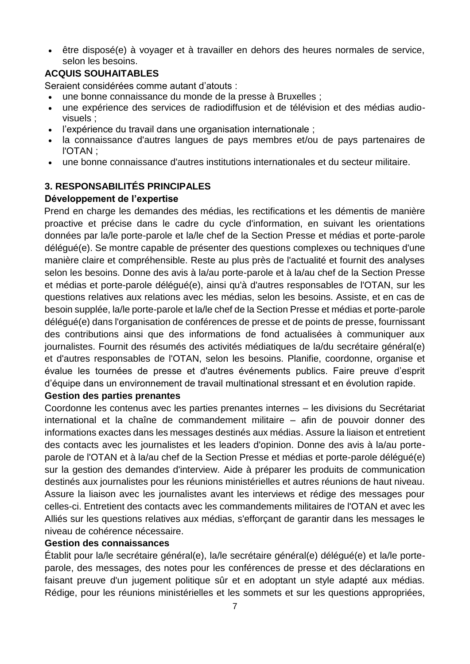être disposé(e) à voyager et à travailler en dehors des heures normales de service, selon les besoins.

## **ACQUIS SOUHAITABLES**

Seraient considérées comme autant d'atouts :

- une bonne connaissance du monde de la presse à Bruxelles ;
- une expérience des services de radiodiffusion et de télévision et des médias audiovisuels ;
- l'expérience du travail dans une organisation internationale ;
- la connaissance d'autres langues de pays membres et/ou de pays partenaires de l'OTAN ;
- une bonne connaissance d'autres institutions internationales et du secteur militaire.

# **3. RESPONSABILITÉS PRINCIPALES**

## **Développement de l'expertise**

Prend en charge les demandes des médias, les rectifications et les démentis de manière proactive et précise dans le cadre du cycle d'information, en suivant les orientations données par la/le porte-parole et la/le chef de la Section Presse et médias et porte-parole délégué(e). Se montre capable de présenter des questions complexes ou techniques d'une manière claire et compréhensible. Reste au plus près de l'actualité et fournit des analyses selon les besoins. Donne des avis à la/au porte-parole et à la/au chef de la Section Presse et médias et porte-parole délégué(e), ainsi qu'à d'autres responsables de l'OTAN, sur les questions relatives aux relations avec les médias, selon les besoins. Assiste, et en cas de besoin supplée, la/le porte-parole et la/le chef de la Section Presse et médias et porte-parole délégué(e) dans l'organisation de conférences de presse et de points de presse, fournissant des contributions ainsi que des informations de fond actualisées à communiquer aux journalistes. Fournit des résumés des activités médiatiques de la/du secrétaire général(e) et d'autres responsables de l'OTAN, selon les besoins. Planifie, coordonne, organise et évalue les tournées de presse et d'autres événements publics. Faire preuve d'esprit d'équipe dans un environnement de travail multinational stressant et en évolution rapide.

### **Gestion des parties prenantes**

Coordonne les contenus avec les parties prenantes internes – les divisions du Secrétariat international et la chaîne de commandement militaire – afin de pouvoir donner des informations exactes dans les messages destinés aux médias. Assure la liaison et entretient des contacts avec les journalistes et les leaders d'opinion. Donne des avis à la/au porteparole de l'OTAN et à la/au chef de la Section Presse et médias et porte-parole délégué(e) sur la gestion des demandes d'interview. Aide à préparer les produits de communication destinés aux journalistes pour les réunions ministérielles et autres réunions de haut niveau. Assure la liaison avec les journalistes avant les interviews et rédige des messages pour celles-ci. Entretient des contacts avec les commandements militaires de l'OTAN et avec les Alliés sur les questions relatives aux médias, s'efforçant de garantir dans les messages le niveau de cohérence nécessaire.

### **Gestion des connaissances**

Établit pour la/le secrétaire général(e), la/le secrétaire général(e) délégué(e) et la/le porteparole, des messages, des notes pour les conférences de presse et des déclarations en faisant preuve d'un jugement politique sûr et en adoptant un style adapté aux médias. Rédige, pour les réunions ministérielles et les sommets et sur les questions appropriées,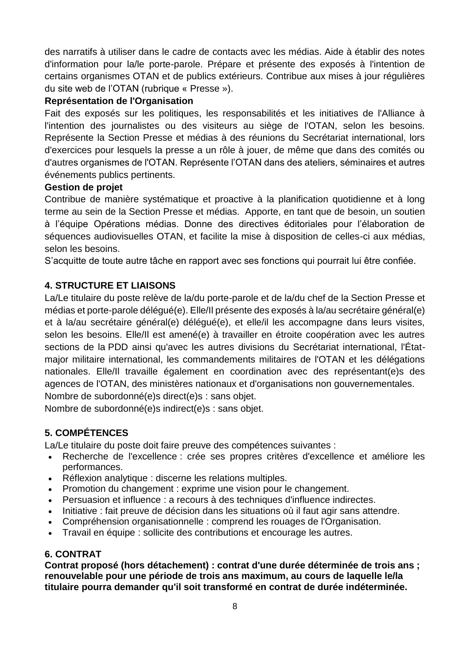des narratifs à utiliser dans le cadre de contacts avec les médias. Aide à établir des notes d'information pour la/le porte-parole. Prépare et présente des exposés à l'intention de certains organismes OTAN et de publics extérieurs. Contribue aux mises à jour régulières du site web de l'OTAN (rubrique « Presse »).

### **Représentation de l'Organisation**

Fait des exposés sur les politiques, les responsabilités et les initiatives de l'Alliance à l'intention des journalistes ou des visiteurs au siège de l'OTAN, selon les besoins. Représente la Section Presse et médias à des réunions du Secrétariat international, lors d'exercices pour lesquels la presse a un rôle à jouer, de même que dans des comités ou d'autres organismes de l'OTAN. Représente l'OTAN dans des ateliers, séminaires et autres événements publics pertinents.

### **Gestion de projet**

Contribue de manière systématique et proactive à la planification quotidienne et à long terme au sein de la Section Presse et médias. Apporte, en tant que de besoin, un soutien à l'équipe Opérations médias. Donne des directives éditoriales pour l'élaboration de séquences audiovisuelles OTAN, et facilite la mise à disposition de celles-ci aux médias, selon les besoins.

S'acquitte de toute autre tâche en rapport avec ses fonctions qui pourrait lui être confiée.

## **4. STRUCTURE ET LIAISONS**

La/Le titulaire du poste relève de la/du porte-parole et de la/du chef de la Section Presse et médias et porte-parole délégué(e). Elle/Il présente des exposés à la/au secrétaire général(e) et à la/au secrétaire général(e) délégué(e), et elle/il les accompagne dans leurs visites, selon les besoins. Elle/Il est amené(e) à travailler en étroite coopération avec les autres sections de la PDD ainsi qu'avec les autres divisions du Secrétariat international, l'Étatmajor militaire international, les commandements militaires de l'OTAN et les délégations nationales. Elle/Il travaille également en coordination avec des représentant(e)s des agences de l'OTAN, des ministères nationaux et d'organisations non gouvernementales. Nombre de subordonné(e)s direct(e)s : sans objet.

Nombre de subordonné(e)s indirect(e)s : sans objet.

# **5. COMPÉTENCES**

La/Le titulaire du poste doit faire preuve des compétences suivantes :

- Recherche de l'excellence : crée ses propres critères d'excellence et améliore les performances.
- Réflexion analytique : discerne les relations multiples.
- Promotion du changement : exprime une vision pour le changement.
- Persuasion et influence : a recours à des techniques d'influence indirectes.
- Initiative : fait preuve de décision dans les situations où il faut agir sans attendre.
- Compréhension organisationnelle : comprend les rouages de l'Organisation.
- Travail en équipe : sollicite des contributions et encourage les autres.

### **6. CONTRAT**

**Contrat proposé (hors détachement) : contrat d'une durée déterminée de trois ans ; renouvelable pour une période de trois ans maximum, au cours de laquelle le/la titulaire pourra demander qu'il soit transformé en contrat de durée indéterminée.**